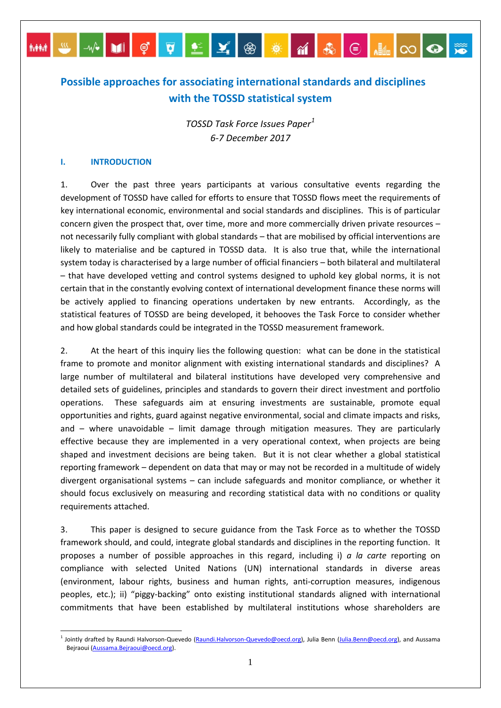# **Possible approaches for associating international standards and disciplines with the TOSSD statistical system**

MM S X DI Ç Q LÉ Y ® <del>X</del> M & E HIO O ® <del>X</del>

*TOSSD Task Force Issues Paper[1](#page-0-0) 6-7 December 2017*

### **I. INTRODUCTION**

1. Over the past three years participants at various consultative events regarding the development of TOSSD have called for efforts to ensure that TOSSD flows meet the requirements of key international economic, environmental and social standards and disciplines. This is of particular concern given the prospect that, over time, more and more commercially driven private resources – not necessarily fully compliant with global standards – that are mobilised by official interventions are likely to materialise and be captured in TOSSD data. It is also true that, while the international system today is characterised by a large number of official financiers – both bilateral and multilateral – that have developed vetting and control systems designed to uphold key global norms, it is not certain that in the constantly evolving context of international development finance these norms will be actively applied to financing operations undertaken by new entrants. Accordingly, as the statistical features of TOSSD are being developed, it behooves the Task Force to consider whether and how global standards could be integrated in the TOSSD measurement framework.

2. At the heart of this inquiry lies the following question: what can be done in the statistical frame to promote and monitor alignment with existing international standards and disciplines? A large number of multilateral and bilateral institutions have developed very comprehensive and detailed sets of guidelines, principles and standards to govern their direct investment and portfolio operations. These safeguards aim at ensuring investments are sustainable, promote equal opportunities and rights, guard against negative environmental, social and climate impacts and risks, and – where unavoidable – limit damage through mitigation measures. They are particularly effective because they are implemented in a very operational context, when projects are being shaped and investment decisions are being taken. But it is not clear whether a global statistical reporting framework – dependent on data that may or may not be recorded in a multitude of widely divergent organisational systems – can include safeguards and monitor compliance, or whether it should focus exclusively on measuring and recording statistical data with no conditions or quality requirements attached.

3. This paper is designed to secure guidance from the Task Force as to whether the TOSSD framework should, and could, integrate global standards and disciplines in the reporting function. It proposes a number of possible approaches in this regard, including i) *a la carte* reporting on compliance with selected United Nations (UN) international standards in diverse areas (environment, labour rights, business and human rights, anti-corruption measures, indigenous peoples, etc.); ii) "piggy-backing" onto existing institutional standards aligned with international commitments that have been established by multilateral institutions whose shareholders are

<span id="page-0-0"></span><sup>&</sup>lt;sup>1</sup> Jointly drafted by Raundi Halvorson-Quevedo [\(Raundi.Halvorson-Quevedo@oecd.org\)](mailto:Raundi.Halvorson-Quevedo@oecd.org), Julia Benn [\(Julia.Benn@oecd.org\),](mailto:Julia.Benn@oecd.org) and Aussama Bejraoui [\(Aussama.Bejraoui@oecd.org\)](mailto:Aussama.Bejraoui@oecd.org).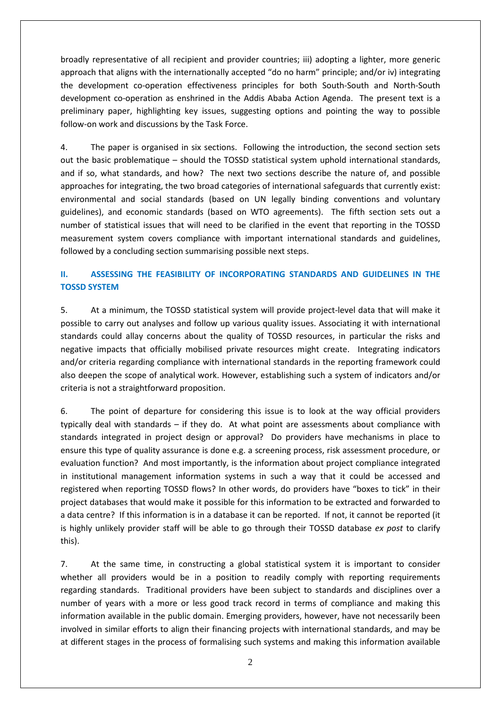broadly representative of all recipient and provider countries; iii) adopting a lighter, more generic approach that aligns with the internationally accepted "do no harm" principle; and/or iv) integrating the development co-operation effectiveness principles for both South-South and North-South development co-operation as enshrined in the Addis Ababa Action Agenda. The present text is a preliminary paper, highlighting key issues, suggesting options and pointing the way to possible follow-on work and discussions by the Task Force.

4. The paper is organised in six sections. Following the introduction, the second section sets out the basic problematique – should the TOSSD statistical system uphold international standards, and if so, what standards, and how? The next two sections describe the nature of, and possible approaches for integrating, the two broad categories of international safeguards that currently exist: environmental and social standards (based on UN legally binding conventions and voluntary guidelines), and economic standards (based on WTO agreements). The fifth section sets out a number of statistical issues that will need to be clarified in the event that reporting in the TOSSD measurement system covers compliance with important international standards and guidelines, followed by a concluding section summarising possible next steps.

# **II. ASSESSING THE FEASIBILITY OF INCORPORATING STANDARDS AND GUIDELINES IN THE TOSSD SYSTEM**

5. At a minimum, the TOSSD statistical system will provide project-level data that will make it possible to carry out analyses and follow up various quality issues. Associating it with international standards could allay concerns about the quality of TOSSD resources, in particular the risks and negative impacts that officially mobilised private resources might create. Integrating indicators and/or criteria regarding compliance with international standards in the reporting framework could also deepen the scope of analytical work. However, establishing such a system of indicators and/or criteria is not a straightforward proposition.

6. The point of departure for considering this issue is to look at the way official providers typically deal with standards – if they do. At what point are assessments about compliance with standards integrated in project design or approval? Do providers have mechanisms in place to ensure this type of quality assurance is done e.g. a screening process, risk assessment procedure, or evaluation function? And most importantly, is the information about project compliance integrated in institutional management information systems in such a way that it could be accessed and registered when reporting TOSSD flows? In other words, do providers have "boxes to tick" in their project databases that would make it possible for this information to be extracted and forwarded to a data centre? If this information is in a database it can be reported. If not, it cannot be reported (it is highly unlikely provider staff will be able to go through their TOSSD database *ex post* to clarify this).

7. At the same time, in constructing a global statistical system it is important to consider whether all providers would be in a position to readily comply with reporting requirements regarding standards. Traditional providers have been subject to standards and disciplines over a number of years with a more or less good track record in terms of compliance and making this information available in the public domain. Emerging providers, however, have not necessarily been involved in similar efforts to align their financing projects with international standards, and may be at different stages in the process of formalising such systems and making this information available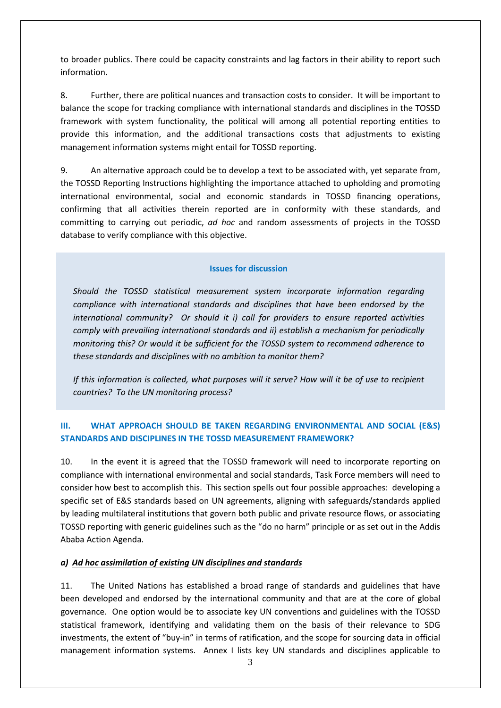to broader publics. There could be capacity constraints and lag factors in their ability to report such information.

8. Further, there are political nuances and transaction costs to consider. It will be important to balance the scope for tracking compliance with international standards and disciplines in the TOSSD framework with system functionality, the political will among all potential reporting entities to provide this information, and the additional transactions costs that adjustments to existing management information systems might entail for TOSSD reporting.

9. An alternative approach could be to develop a text to be associated with, yet separate from, the TOSSD Reporting Instructions highlighting the importance attached to upholding and promoting international environmental, social and economic standards in TOSSD financing operations, confirming that all activities therein reported are in conformity with these standards, and committing to carrying out periodic, *ad hoc* and random assessments of projects in the TOSSD database to verify compliance with this objective.

### **Issues for discussion**

*Should the TOSSD statistical measurement system incorporate information regarding compliance with international standards and disciplines that have been endorsed by the international community? Or should it i) call for providers to ensure reported activities comply with prevailing international standards and ii) establish a mechanism for periodically monitoring this? Or would it be sufficient for the TOSSD system to recommend adherence to these standards and disciplines with no ambition to monitor them?* 

*If this information is collected, what purposes will it serve? How will it be of use to recipient countries? To the UN monitoring process?*

# **III. WHAT APPROACH SHOULD BE TAKEN REGARDING ENVIRONMENTAL AND SOCIAL (E&S) STANDARDS AND DISCIPLINES IN THE TOSSD MEASUREMENT FRAMEWORK?**

10. In the event it is agreed that the TOSSD framework will need to incorporate reporting on compliance with international environmental and social standards, Task Force members will need to consider how best to accomplish this. This section spells out four possible approaches: developing a specific set of E&S standards based on UN agreements, aligning with safeguards/standards applied by leading multilateral institutions that govern both public and private resource flows, or associating TOSSD reporting with generic guidelines such as the "do no harm" principle or as set out in the Addis Ababa Action Agenda.

# *a) Ad hoc assimilation of existing UN disciplines and standards*

11. The United Nations has established a broad range of standards and guidelines that have been developed and endorsed by the international community and that are at the core of global governance. One option would be to associate key UN conventions and guidelines with the TOSSD statistical framework, identifying and validating them on the basis of their relevance to SDG investments, the extent of "buy-in" in terms of ratification, and the scope for sourcing data in official management information systems. Annex I lists key UN standards and disciplines applicable to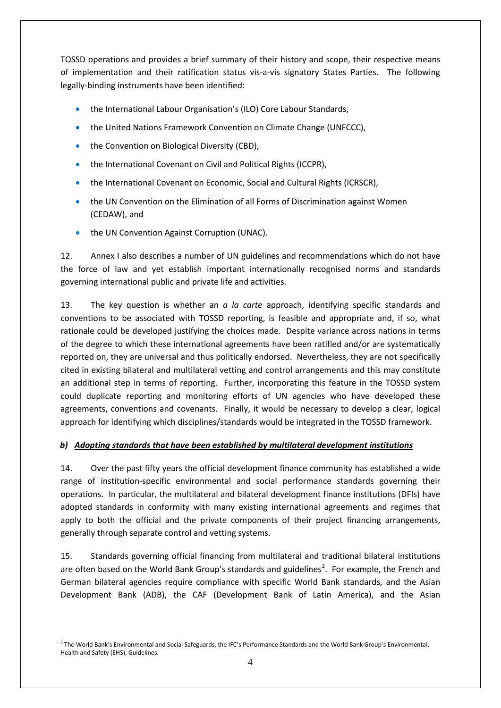TOSSD operations and provides a brief summary of their history and scope, their respective means of implementation and their ratification status vis-a-vis signatory States Parties. The following legally-binding instruments have been identified:

- the International Labour Organisation's (ILO) Core Labour Standards,
- the United Nations Framework Convention on Climate Change (UNFCCC),
- the Convention on Biological Diversity (CBD),
- the International Covenant on Civil and Political Rights (ICCPR),
- the International Covenant on Economic, Social and Cultural Rights (ICRSCR),
- the UN Convention on the Elimination of all Forms of Discrimination against Women (CEDAW), and
- the UN Convention Against Corruption (UNAC).

12. Annex I also describes a number of UN guidelines and recommendations which do not have the force of law and yet establish important internationally recognised norms and standards governing international public and private life and activities.

13. The key question is whether an *a la carte* approach, identifying specific standards and conventions to be associated with TOSSD reporting, is feasible and appropriate and, if so, what rationale could be developed justifying the choices made. Despite variance across nations in terms of the degree to which these international agreements have been ratified and/or are systematically reported on, they are universal and thus politically endorsed. Nevertheless, they are not specifically cited in existing bilateral and multilateral vetting and control arrangements and this may constitute an additional step in terms of reporting. Further, incorporating this feature in the TOSSD system could duplicate reporting and monitoring efforts of UN agencies who have developed these agreements, conventions and covenants. Finally, it would be necessary to develop a clear, logical approach for identifying which disciplines/standards would be integrated in the TOSSD framework.

# *b) Adopting standards that have been established by multilateral development institutions*

14. Over the past fifty years the official development finance community has established a wide range of institution-specific environmental and social performance standards governing their operations. In particular, the multilateral and bilateral development finance institutions (DFIs) have adopted standards in conformity with many existing international agreements and regimes that apply to both the official and the private components of their project financing arrangements, generally through separate control and vetting systems.

15. Standards governing official financing from multilateral and traditional bilateral institutions are often based on the World Bank Group's standards and guidelines<sup>[2](#page-3-0)</sup>. For example, the French and German bilateral agencies require compliance with specific World Bank standards, and the Asian Development Bank (ADB), the CAF (Development Bank of Latin America), and the Asian

<span id="page-3-0"></span><sup>&</sup>lt;sup>2</sup> The World Bank's Environmental and Social Safeguards, the IFC's Performance Standards and the World Bank Group's Environmental, Health and Safety (EHS), Guidelines.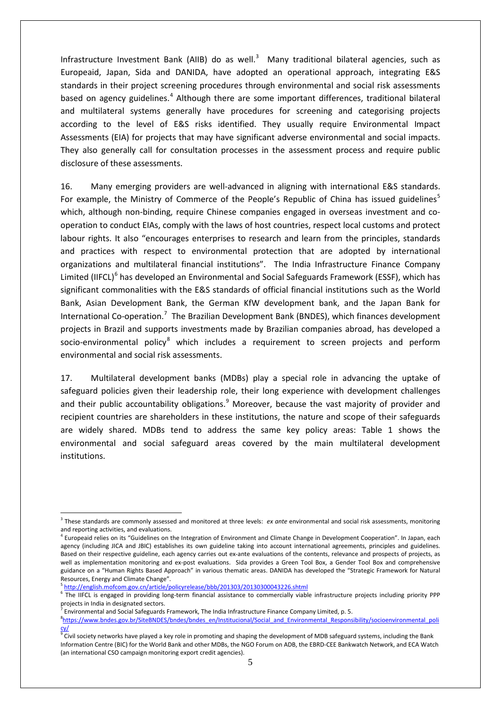Infrastructure Investment Bank (AIIB) do as well.<sup>[3](#page-4-0)</sup> Many traditional bilateral agencies, such as Europeaid, Japan, Sida and DANIDA, have adopted an operational approach, integrating E&S standards in their project screening procedures through environmental and social risk assessments based on agency guidelines.<sup>[4](#page-4-1)</sup> Although there are some important differences, traditional bilateral and multilateral systems generally have procedures for screening and categorising projects according to the level of E&S risks identified. They usually require Environmental Impact Assessments (EIA) for projects that may have significant adverse environmental and social impacts. They also generally call for consultation processes in the assessment process and require public disclosure of these assessments.

16. Many emerging providers are well-advanced in aligning with international E&S standards. For example, the Ministry of Commerce of the People's Republic of China has issued guidelines<sup>[5](#page-4-2)</sup> which, although non-binding, require Chinese companies engaged in overseas investment and cooperation to conduct EIAs, comply with the laws of host countries, respect local customs and protect labour rights. It also "encourages enterprises to research and learn from the principles, standards and practices with respect to environmental protection that are adopted by international organizations and multilateral financial institutions". The India Infrastructure Finance Company Limited (IIFCL)<sup>[6](#page-4-3)</sup> has developed an Environmental and Social Safeguards Framework (ESSF), which has significant commonalities with the E&S standards of official financial institutions such as the World Bank, Asian Development Bank, the German KfW development bank, and the Japan Bank for International Co-operation.<sup>[7](#page-4-4)</sup> The Brazilian Development Bank (BNDES), which finances development projects in Brazil and supports investments made by Brazilian companies abroad, has developed a socio-environmental policy<sup>[8](#page-4-5)</sup> which includes a requirement to screen projects and perform environmental and social risk assessments.

17. Multilateral development banks (MDBs) play a special role in advancing the uptake of safeguard policies given their leadership role, their long experience with development challenges and their public accountability obligations.<sup>[9](#page-4-6)</sup> Moreover, because the vast majority of provider and recipient countries are shareholders in these institutions, the nature and scope of their safeguards are widely shared. MDBs tend to address the same key policy areas: Table 1 shows the environmental and social safeguard areas covered by the main multilateral development institutions.

<span id="page-4-0"></span><sup>3</sup> These standards are commonly assessed and monitored at three levels: *ex ante* environmental and social risk assessments, monitoring and reporting activities, and evaluations.

<span id="page-4-1"></span><sup>&</sup>lt;sup>1</sup> Europeaid relies on its "Guidelines on the Integration of Environment and Climate Change in Development Cooperation". In Japan, each agency (including JICA and JBIC) establishes its own guideline taking into account international agreements, principles and guidelines. Based on their respective guideline, each agency carries out ex-ante evaluations of the contents, relevance and prospects of projects, as well as implementation monitoring and ex-post evaluations. Sida provides a Green Tool Box, a Gender Tool Box and comprehensive guidance on a "Human Rights Based Approach" in various thematic areas. DANIDA has developed the "Strategic Framework for Natural Resources, Energy and Climate Change".

<sup>&</sup>lt;sup>5</sup> <http://english.mofcom.gov.cn/article/policyrelease/bbb/201303/20130300043226.shtml>

<span id="page-4-3"></span><span id="page-4-2"></span><sup>&</sup>lt;sup>6</sup>The IIFCL is engaged in providing long-term financial assistance to commercially viable infrastructure projects including priority PPP projects in India in designated sectors.<br><sup>7</sup> Environmental and Social Safeguards Framework, The India Infrastructure Finance Company Limited, p. 5.

<span id="page-4-4"></span>

<span id="page-4-5"></span><sup>8&</sup>lt;sub>[https://www.bndes.gov.br/SiteBNDES/bndes/bndes\\_en/Institucional/Social\\_and\\_Environmental\\_Responsibility/socioenvironmental\\_poli](https://www.bndes.gov.br/SiteBNDES/bndes/bndes_en/Institucional/Social_and_Environmental_Responsibility/socioenvironmental_policy/)</sub> [cy/](https://www.bndes.gov.br/SiteBNDES/bndes/bndes_en/Institucional/Social_and_Environmental_Responsibility/socioenvironmental_policy/)

<span id="page-4-6"></span> $^9$  Civil society networks have played a key role in promoting and shaping the development of MDB safeguard systems, including the Bank Information Centre (BIC) for the World Bank and other MDBs, the NGO Forum on ADB, the EBRD-CEE Bankwatch Network, and ECA Watch (an international CSO campaign monitoring export credit agencies).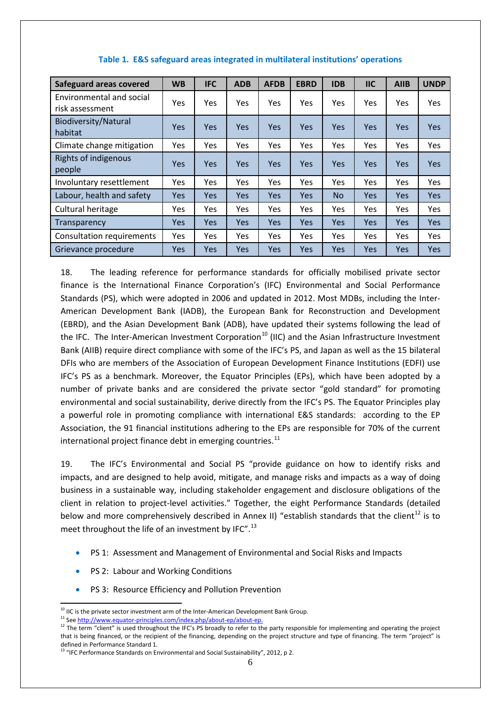| Safeguard areas covered                     | <b>WB</b>  | <b>IFC</b> | <b>ADB</b> | <b>AFDB</b> | <b>EBRD</b> | <b>IDB</b> | <b>IIC</b> | <b>AIIB</b> | <b>UNDP</b> |
|---------------------------------------------|------------|------------|------------|-------------|-------------|------------|------------|-------------|-------------|
| Environmental and social<br>risk assessment | Yes        | Yes        | Yes.       | Yes.        | Yes.        | <b>Yes</b> | <b>Yes</b> | Yes.        | Yes.        |
| Biodiversity/Natural<br>habitat             | <b>Yes</b> | <b>Yes</b> | <b>Yes</b> | Yes         | <b>Yes</b>  | <b>Yes</b> | <b>Yes</b> | <b>Yes</b>  | <b>Yes</b>  |
| Climate change mitigation                   | Yes        | Yes        | Yes        | Yes         | Yes         | Yes        | Yes        | Yes         | Yes         |
| Rights of indigenous<br>people              | Yes.       | <b>Yes</b> | Yes.       | <b>Yes</b>  | <b>Yes</b>  | <b>Yes</b> | <b>Yes</b> | <b>Yes</b>  | <b>Yes</b>  |
| Involuntary resettlement                    | <b>Yes</b> | Yes        | Yes        | Yes         | Yes         | Yes        | Yes        | <b>Yes</b>  | Yes         |
| Labour, health and safety                   | <b>Yes</b> | Yes        | <b>Yes</b> | <b>Yes</b>  | <b>Yes</b>  | <b>No</b>  | <b>Yes</b> | Yes         | <b>Yes</b>  |
| Cultural heritage                           | Yes        | Yes        | Yes        | Yes         | Yes         | Yes        | Yes        | Yes         | Yes         |
| Transparency                                | Yes        | Yes        | <b>Yes</b> | <b>Yes</b>  | <b>Yes</b>  | <b>Yes</b> | Yes        | Yes         | <b>Yes</b>  |
| <b>Consultation requirements</b>            | Yes        | Yes        | Yes.       | Yes         | Yes.        | Yes        | Yes        | Yes         | Yes         |
| Grievance procedure                         | <b>Yes</b> | Yes        | <b>Yes</b> | <b>Yes</b>  | <b>Yes</b>  | <b>Yes</b> | <b>Yes</b> | Yes         | <b>Yes</b>  |

### **Table 1. E&S safeguard areas integrated in multilateral institutions' operations**

18. The leading reference for performance standards for officially mobilised private sector finance is the International Finance Corporation's (IFC) Environmental and Social Performance Standards (PS), which were adopted in 2006 and updated in 2012. Most MDBs, including the Inter-American Development Bank (IADB), the European Bank for Reconstruction and Development (EBRD), and the Asian Development Bank (ADB), have updated their systems following the lead of the IFC. The Inter-American Investment Corporation<sup>[10](#page-5-0)</sup> (IIC) and the Asian Infrastructure Investment Bank (AIIB) require direct compliance with some of the IFC's PS, and Japan as well as the 15 bilateral DFIs who are members of the Association of European Development Finance Institutions (EDFI) use IFC's PS as a benchmark. Moreover, the Equator Principles (EPs), which have been adopted by a number of private banks and are considered the private sector "gold standard" for promoting environmental and social sustainability, derive directly from the IFC's PS. The Equator Principles play a powerful role in promoting compliance with international E&S standards: according to the EP Association, the 91 financial institutions adhering to the EPs are responsible for 70% of the current international project finance debt in emerging countries.<sup>[11](#page-5-1)</sup>

19. The IFC's Environmental and Social PS "provide guidance on how to identify risks and impacts, and are designed to help avoid, mitigate, and manage risks and impacts as a way of doing business in a sustainable way, including stakeholder engagement and disclosure obligations of the client in relation to project-level activities." Together, the eight Performance Standards (detailed below and more comprehensively described in Annex II) "establish standards that the client<sup>[12](#page-5-2)</sup> is to meet throughout the life of an investment by IFC".<sup>[13](#page-5-3)</sup>

- PS 1: Assessment and Management of Environmental and Social Risks and Impacts
- PS 2: Labour and Working Conditions
- PS 3: Resource Efficiency and Pollution Prevention

<span id="page-5-0"></span><sup>&</sup>lt;sup>10</sup> IIC is the private sector investment arm of the Inter-American Development Bank Group.<br><sup>11</sup> See http://www.equator-principles.com/index.php/about-ep/about-ep.

<span id="page-5-2"></span><span id="page-5-1"></span><sup>&</sup>lt;sup>12</sup> The term "client" is used throughout the IFC's PS broadly to refer to the party responsible for implementing and operating the project that is being financed, or the recipient of the financing, depending on the project structure and type of financing. The term "project" is defined in Performance Standard 1.

<span id="page-5-3"></span><sup>&</sup>lt;sup>13</sup> "IFC Performance Standards on Environmental and Social Sustainability", 2012, p 2.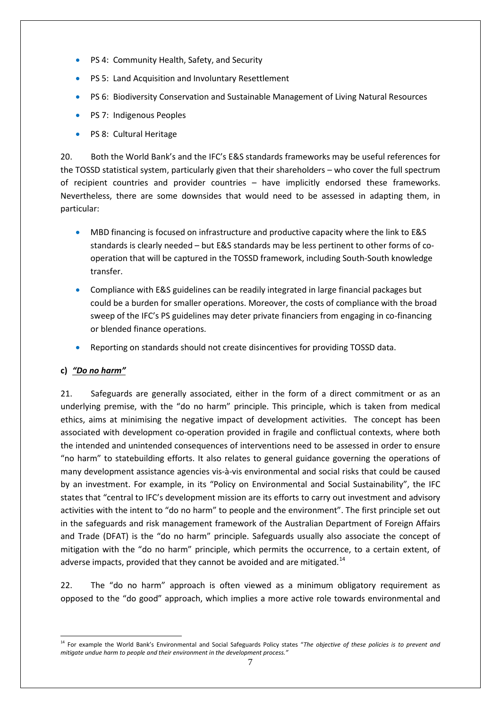- PS 4: Community Health, Safety, and Security
- PS 5: Land Acquisition and Involuntary Resettlement
- PS 6: Biodiversity Conservation and Sustainable Management of Living Natural Resources
- PS 7: Indigenous Peoples
- PS 8: Cultural Heritage

20. Both the World Bank's and the IFC's E&S standards frameworks may be useful references for the TOSSD statistical system, particularly given that their shareholders – who cover the full spectrum of recipient countries and provider countries – have implicitly endorsed these frameworks. Nevertheless, there are some downsides that would need to be assessed in adapting them, in particular:

- MBD financing is focused on infrastructure and productive capacity where the link to E&S standards is clearly needed – but E&S standards may be less pertinent to other forms of cooperation that will be captured in the TOSSD framework, including South-South knowledge transfer.
- Compliance with E&S guidelines can be readily integrated in large financial packages but could be a burden for smaller operations. Moreover, the costs of compliance with the broad sweep of the IFC's PS guidelines may deter private financiers from engaging in co-financing or blended finance operations.
- Reporting on standards should not create disincentives for providing TOSSD data.

# **c)** *"Do no harm"*

21. Safeguards are generally associated, either in the form of a direct commitment or as an underlying premise, with the "do no harm" principle. This principle, which is taken from medical ethics, aims at minimising the negative impact of development activities. The concept has been associated with development co-operation provided in fragile and conflictual contexts, where both the intended and unintended consequences of interventions need to be assessed in order to ensure "no harm" to statebuilding efforts. It also relates to general guidance governing the operations of many development assistance agencies vis-à-vis environmental and social risks that could be caused by an investment. For example, in its "Policy on Environmental and Social Sustainability", the IFC states that "central to IFC's development mission are its efforts to carry out investment and advisory activities with the intent to "do no harm" to people and the environment". The first principle set out in the safeguards and risk management framework of the Australian Department of Foreign Affairs and Trade (DFAT) is the "do no harm" principle. Safeguards usually also associate the concept of mitigation with the "do no harm" principle, which permits the occurrence, to a certain extent, of adverse impacts, provided that they cannot be avoided and are mitigated. $14$ 

22. The "do no harm" approach is often viewed as a minimum obligatory requirement as opposed to the "do good" approach, which implies a more active role towards environmental and

<span id="page-6-0"></span><sup>14</sup> For example the World Bank's Environmental and Social Safeguards Policy states "*The objective of these policies is to prevent and mitigate undue harm to people and their environment in the development process."*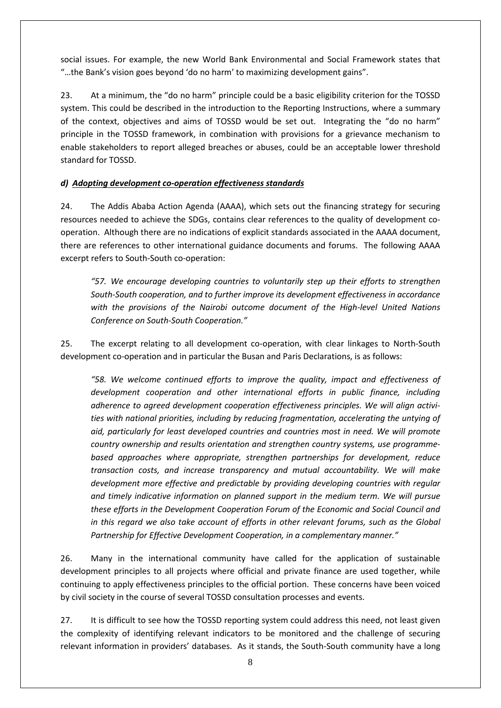social issues. For example, the new World Bank Environmental and Social Framework states that "…the Bank's vision goes beyond 'do no harm' to maximizing development gains".

23. At a minimum, the "do no harm" principle could be a basic eligibility criterion for the TOSSD system. This could be described in the introduction to the Reporting Instructions, where a summary of the context, objectives and aims of TOSSD would be set out. Integrating the "do no harm" principle in the TOSSD framework, in combination with provisions for a grievance mechanism to enable stakeholders to report alleged breaches or abuses, could be an acceptable lower threshold standard for TOSSD.

# *d) Adopting development co-operation effectiveness standards*

24. The Addis Ababa Action Agenda (AAAA), which sets out the financing strategy for securing resources needed to achieve the SDGs, contains clear references to the quality of development cooperation. Although there are no indications of explicit standards associated in the AAAA document, there are references to other international guidance documents and forums. The following AAAA excerpt refers to South-South co-operation:

*"57. We encourage developing countries to voluntarily step up their efforts to strengthen South-South cooperation, and to further improve its development effectiveness in accordance with the provisions of the Nairobi outcome document of the High-level United Nations Conference on South-South Cooperation."*

25. The excerpt relating to all development co-operation, with clear linkages to North-South development co-operation and in particular the Busan and Paris Declarations, is as follows:

*"58. We welcome continued efforts to improve the quality, impact and effectiveness of development cooperation and other international efforts in public finance, including adherence to agreed development cooperation effectiveness principles. We will align activities with national priorities, including by reducing fragmentation, accelerating the untying of aid, particularly for least developed countries and countries most in need. We will promote country ownership and results orientation and strengthen country systems, use programmebased approaches where appropriate, strengthen partnerships for development, reduce transaction costs, and increase transparency and mutual accountability. We will make development more effective and predictable by providing developing countries with regular and timely indicative information on planned support in the medium term. We will pursue these efforts in the Development Cooperation Forum of the Economic and Social Council and in this regard we also take account of efforts in other relevant forums, such as the Global Partnership for Effective Development Cooperation, in a complementary manner."*

26. Many in the international community have called for the application of sustainable development principles to all projects where official and private finance are used together, while continuing to apply effectiveness principles to the official portion. These concerns have been voiced by civil society in the course of several TOSSD consultation processes and events.

27. It is difficult to see how the TOSSD reporting system could address this need, not least given the complexity of identifying relevant indicators to be monitored and the challenge of securing relevant information in providers' databases. As it stands, the South-South community have a long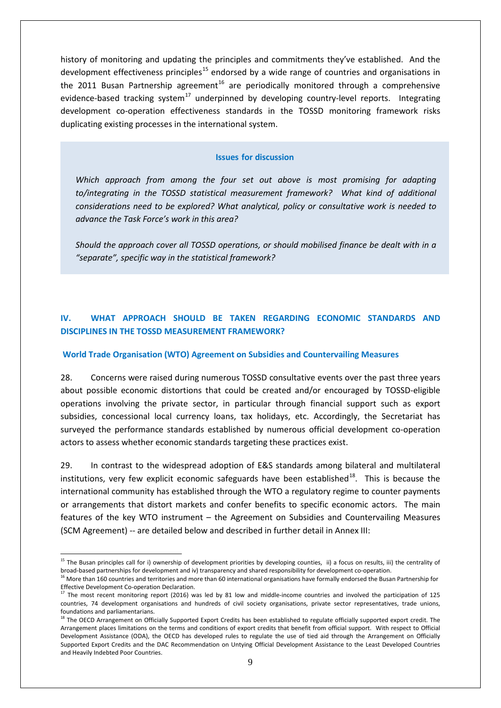history of monitoring and updating the principles and commitments they've established. And the development effectiveness principles<sup>[15](#page-8-0)</sup> endorsed by a wide range of countries and organisations in the 2011 Busan Partnership agreement<sup>[16](#page-8-1)</sup> are periodically monitored through a comprehensive evidence-based tracking system<sup>[17](#page-8-2)</sup> underpinned by developing country-level reports. Integrating development co-operation effectiveness standards in the TOSSD monitoring framework risks duplicating existing processes in the international system.

#### **Issues for discussion**

*Which approach from among the four set out above is most promising for adapting to/integrating in the TOSSD statistical measurement framework? What kind of additional considerations need to be explored? What analytical, policy or consultative work is needed to advance the Task Force's work in this area?* 

*Should the approach cover all TOSSD operations, or should mobilised finance be dealt with in a "separate", specific way in the statistical framework?*

# **IV. WHAT APPROACH SHOULD BE TAKEN REGARDING ECONOMIC STANDARDS AND DISCIPLINES IN THE TOSSD MEASUREMENT FRAMEWORK?**

#### **World Trade Organisation (WTO) Agreement on Subsidies and Countervailing Measures**

28. Concerns were raised during numerous TOSSD consultative events over the past three years about possible economic distortions that could be created and/or encouraged by TOSSD-eligible operations involving the private sector, in particular through financial support such as export subsidies, concessional local currency loans, tax holidays, etc. Accordingly, the Secretariat has surveyed the performance standards established by numerous official development co-operation actors to assess whether economic standards targeting these practices exist.

29. In contrast to the widespread adoption of E&S standards among bilateral and multilateral institutions, very few explicit economic safeguards have been established $18$ . This is because the international community has established through the WTO a regulatory regime to counter payments or arrangements that distort markets and confer benefits to specific economic actors. The main features of the key WTO instrument – the Agreement on Subsidies and Countervailing Measures (SCM Agreement) -- are detailed below and described in further detail in Annex III:

<span id="page-8-0"></span> $15$  The Busan principles call for i) ownership of development priorities by developing counties, ii) a focus on results, iii) the centrality of broad-based partnerships for development and iv) transparency and shared responsibility for development co-operation.

<span id="page-8-1"></span><sup>&</sup>lt;sup>16</sup> More than 160 countries and territories and more than 60 international organisations have formally endorsed the Busan Partnership for Effective Development Co-operation Declaration.<br><sup>17</sup> The most recent monitoring report (2016) was led by 81 low and middle-income countries and involved the participation of 125

<span id="page-8-2"></span>countries, 74 development organisations and hundreds of civil society organisations, private sector representatives, trade unions, foundations and parliamentarians.

<span id="page-8-3"></span><sup>&</sup>lt;sup>18</sup> The OECD Arrangement on Officially Supported Export Credits has been established to regulate officially supported export credit. The Arrangement places limitations on the terms and conditions of export credits that benefit from official support. With respect to Official Development Assistance (ODA), the OECD has developed rules to regulate the use of tied aid through the Arrangement on Officially Supported Export Credits and the DAC Recommendation on Untying Official Development Assistance to the Least Developed Countries and Heavily Indebted Poor Countries.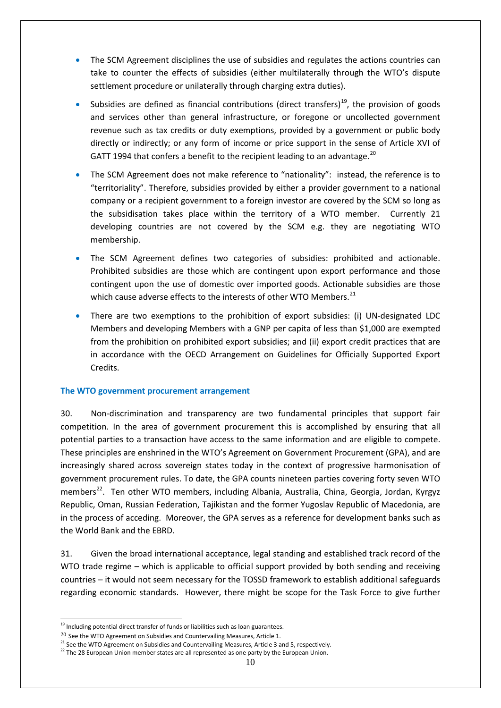- The SCM Agreement disciplines the use of subsidies and regulates the actions countries can take to counter the effects of subsidies (either multilaterally through the WTO's dispute settlement procedure or unilaterally through charging extra duties).
- Subsidies are defined as financial contributions (direct transfers)<sup>[19](#page-9-0)</sup>, the provision of goods and services other than general infrastructure, or foregone or uncollected government revenue such as tax credits or duty exemptions, provided by a government or public body directly or indirectly; or any form of income or price support in the sense of Article XVI of GATT 1994 that confers a benefit to the recipient leading to an advantage.<sup>[20](#page-9-1)</sup>
- The SCM Agreement does not make reference to "nationality": instead, the reference is to "territoriality". Therefore, subsidies provided by either a provider government to a national company or a recipient government to a foreign investor are covered by the SCM so long as the subsidisation takes place within the territory of a WTO member. Currently 21 developing countries are not covered by the SCM e.g. they are negotiating WTO membership.
- The SCM Agreement defines two categories of subsidies: prohibited and actionable. Prohibited subsidies are those which are contingent upon export performance and those contingent upon the use of domestic over imported goods. Actionable subsidies are those which cause adverse effects to the interests of other WTO Members.<sup>[21](#page-9-2)</sup>
- There are two exemptions to the prohibition of export subsidies: (i) UN-designated LDC Members and developing Members with a GNP per capita of less than \$1,000 are exempted from the prohibition on prohibited export subsidies; and (ii) export credit practices that are in accordance with the OECD Arrangement on Guidelines for Officially Supported Export Credits.

# **The WTO government procurement arrangement**

30. Non-discrimination and transparency are two fundamental principles that support fair competition. In the area of government procurement this is accomplished by ensuring that all potential parties to a transaction have access to the same information and are eligible to compete. These principles are enshrined in the WTO's Agreement on Government Procurement (GPA), and are increasingly shared across sovereign states today in the context of progressive harmonisation of government procurement rules. To date, the GPA counts nineteen parties covering forty seven WTO members<sup>22</sup>. Ten other WTO members, including Albania, Australia, China, Georgia, Jordan, Kyrgyz Republic, Oman, Russian Federation, Tajikistan and the former Yugoslav Republic of Macedonia, are in the process of acceding. Moreover, the GPA serves as a reference for development banks such as the World Bank and the EBRD.

31. Given the broad international acceptance, legal standing and established track record of the WTO trade regime – which is applicable to official support provided by both sending and receiving countries – it would not seem necessary for the TOSSD framework to establish additional safeguards regarding economic standards. However, there might be scope for the Task Force to give further

<span id="page-9-0"></span> $19$  Including potential direct transfer of funds or liabilities such as loan guarantees.

<span id="page-9-1"></span><sup>&</sup>lt;sup>20</sup> See the WTO Agreement on Subsidies and Countervailing Measures, Article 1.<br><sup>21</sup> See the WTO Agreement on Subsidies and Countervailing Measures, Article 3 and 5, respectively.

<span id="page-9-3"></span><span id="page-9-2"></span> $22$  The 28 European Union member states are all represented as one party by the European Union.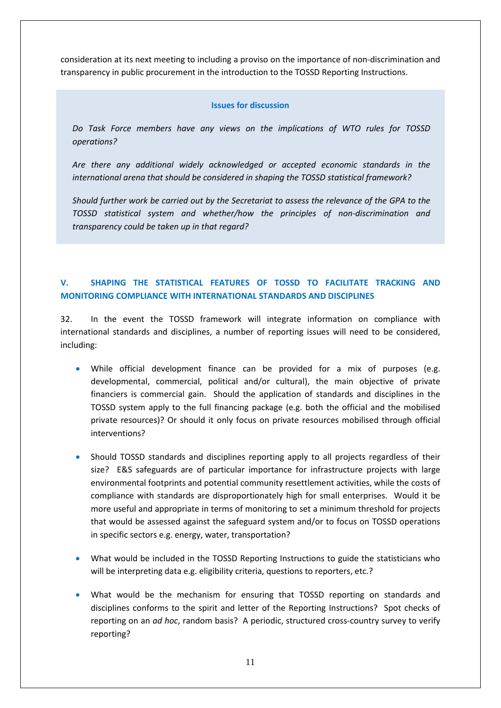consideration at its next meeting to including a proviso on the importance of non-discrimination and transparency in public procurement in the introduction to the TOSSD Reporting Instructions.

### **Issues for discussion**

*Do Task Force members have any views on the implications of WTO rules for TOSSD operations?* 

*Are there any additional widely acknowledged or accepted economic standards in the international arena that should be considered in shaping the TOSSD statistical framework?* 

*Should further work be carried out by the Secretariat to assess the relevance of the GPA to the TOSSD statistical system and whether/how the principles of non-discrimination and transparency could be taken up in that regard?*

# **V. SHAPING THE STATISTICAL FEATURES OF TOSSD TO FACILITATE TRACKING AND MONITORING COMPLIANCE WITH INTERNATIONAL STANDARDS AND DISCIPLINES**

32. In the event the TOSSD framework will integrate information on compliance with international standards and disciplines, a number of reporting issues will need to be considered, including:

- While official development finance can be provided for a mix of purposes (e.g. developmental, commercial, political and/or cultural), the main objective of private financiers is commercial gain. Should the application of standards and disciplines in the TOSSD system apply to the full financing package (e.g. both the official and the mobilised private resources)? Or should it only focus on private resources mobilised through official interventions?
- Should TOSSD standards and disciplines reporting apply to all projects regardless of their size? E&S safeguards are of particular importance for infrastructure projects with large environmental footprints and potential community resettlement activities, while the costs of compliance with standards are disproportionately high for small enterprises. Would it be more useful and appropriate in terms of monitoring to set a minimum threshold for projects that would be assessed against the safeguard system and/or to focus on TOSSD operations in specific sectors e.g. energy, water, transportation?
- What would be included in the TOSSD Reporting Instructions to guide the statisticians who will be interpreting data e.g. eligibility criteria, questions to reporters, etc.?
- What would be the mechanism for ensuring that TOSSD reporting on standards and disciplines conforms to the spirit and letter of the Reporting Instructions? Spot checks of reporting on an *ad hoc*, random basis? A periodic, structured cross-country survey to verify reporting?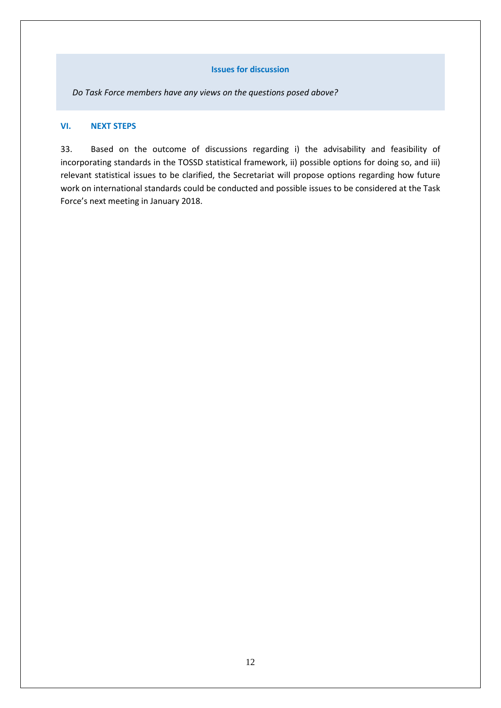### **Issues for discussion**

*Do Task Force members have any views on the questions posed above?* 

# **VI. NEXT STEPS**

33. Based on the outcome of discussions regarding i) the advisability and feasibility of incorporating standards in the TOSSD statistical framework, ii) possible options for doing so, and iii) relevant statistical issues to be clarified, the Secretariat will propose options regarding how future work on international standards could be conducted and possible issues to be considered at the Task Force's next meeting in January 2018.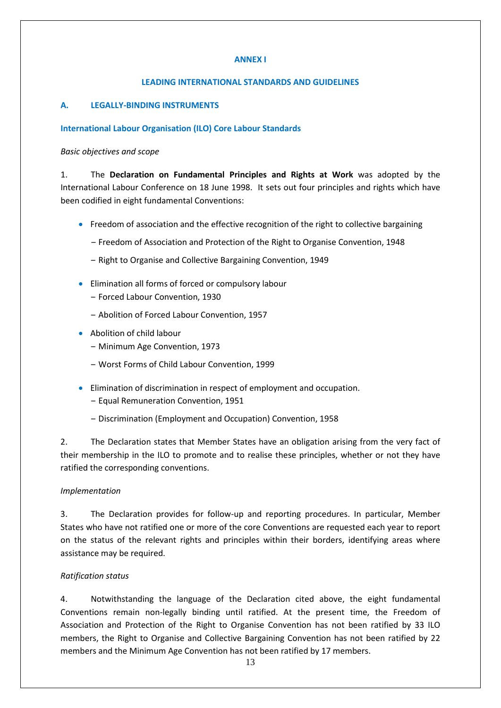### **ANNEX I**

### **LEADING INTERNATIONAL STANDARDS AND GUIDELINES**

# **A. LEGALLY-BINDING INSTRUMENTS**

### **International Labour Organisation (ILO) Core Labour Standards**

### *Basic objectives and scope*

1. The **Declaration on Fundamental Principles and Rights at Work** was adopted by the International Labour Conference on 18 June 1998. It sets out four principles and rights which have been codified in eight fundamental Conventions:

- Freedom of association and the effective recognition of the right to collective bargaining
	- ‒ Freedom of Association and Protection of the Right to Organise Convention, 1948
	- ‒ Right to Organise and Collective Bargaining Convention, 1949
- Elimination all forms of forced or compulsory labour
	- ‒ Forced Labour Convention, 1930
	- ‒ Abolition of Forced Labour Convention, 1957
- Abolition of child labour
	- ‒ Minimum Age Convention, 1973
	- ‒ Worst Forms of Child Labour Convention, 1999
- Elimination of discrimination in respect of employment and occupation.
	- ‒ Equal Remuneration Convention, 1951
	- ‒ Discrimination (Employment and Occupation) Convention, 1958

2. The Declaration states that Member States have an obligation arising from the very fact of their membership in the ILO to promote and to realise these principles, whether or not they have ratified the corresponding conventions.

### *Implementation*

3. The Declaration provides for follow-up and reporting procedures. In particular, Member States who have not ratified one or more of the core Conventions are requested each year to report on the status of the relevant rights and principles within their borders, identifying areas where assistance may be required.

### *Ratification status*

4. Notwithstanding the language of the Declaration cited above, the eight fundamental Conventions remain non-legally binding until ratified. At the present time, the Freedom of Association and Protection of the Right to Organise Convention has not been ratified by 33 ILO members, the Right to Organise and Collective Bargaining Convention has not been ratified by 22 members and the Minimum Age Convention has not been ratified by 17 members.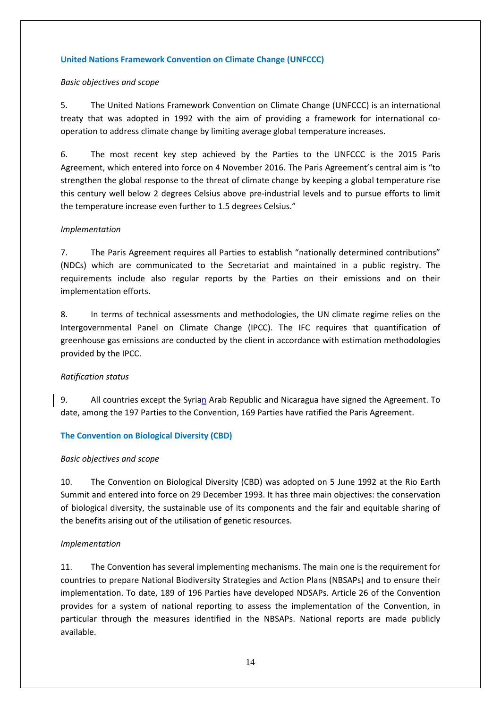### **United Nations Framework Convention on Climate Change (UNFCCC)**

### *Basic objectives and scope*

5. The United Nations Framework Convention on Climate Change (UNFCCC) is an international treaty that was adopted in 1992 with the aim of providing a framework for international cooperation to address climate change by limiting average global temperature increases.

6. The most recent key step achieved by the Parties to the UNFCCC is the 2015 Paris Agreement, which entered into force on 4 November 2016. The Paris Agreement's central aim is "to strengthen the global response to the threat of climate change by keeping a global temperature rise this century well below 2 degrees Celsius above pre-industrial levels and to pursue efforts to limit the temperature increase even further to 1.5 degrees Celsius."

### *Implementation*

7. The Paris Agreement requires all Parties to establish "nationally determined contributions" (NDCs) which are communicated to the Secretariat and maintained in a public registry. The requirements include also regular reports by the Parties on their emissions and on their implementation efforts.

8. In terms of technical assessments and methodologies, the UN climate regime relies on the Intergovernmental Panel on Climate Change (IPCC). The IFC requires that quantification of greenhouse gas emissions are conducted by the client in accordance with estimation methodologies provided by the IPCC.

### *Ratification status*

9. All countries except the Syrian Arab Republic and Nicaragua have signed the Agreement. To date, among the 197 Parties to the Convention, 169 Parties have ratified the Paris Agreement.

### **The Convention on Biological Diversity (CBD)**

### *Basic objectives and scope*

10. The Convention on Biological Diversity (CBD) was adopted on 5 June 1992 at the Rio Earth Summit and entered into force on 29 December 1993. It has three main objectives: the conservation of biological diversity, the sustainable use of its components and the fair and equitable sharing of the benefits arising out of the utilisation of genetic resources.

### *Implementation*

11. The Convention has several implementing mechanisms. The main one is the requirement for countries to prepare National Biodiversity Strategies and Action Plans (NBSAPs) and to ensure their implementation. To date, 189 of 196 Parties have developed NDSAPs. Article 26 of the Convention provides for a system of national reporting to assess the implementation of the Convention, in particular through the measures identified in the NBSAPs. National reports are made publicly available.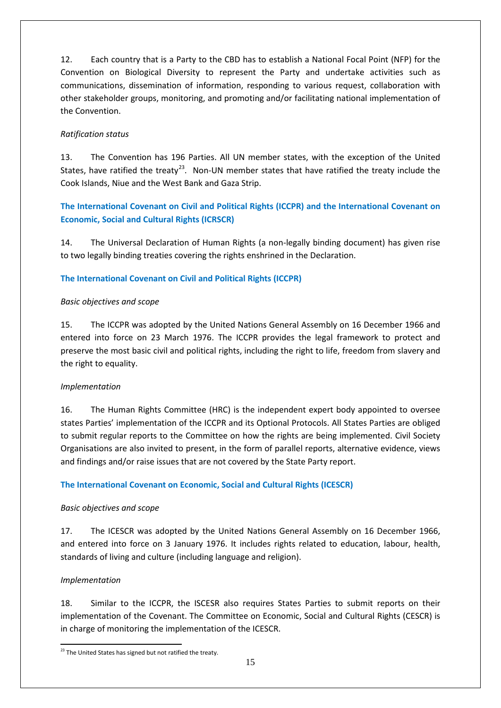12. Each country that is a Party to the CBD has to establish a National Focal Point (NFP) for the Convention on Biological Diversity to represent the Party and undertake activities such as communications, dissemination of information, responding to various request, collaboration with other stakeholder groups, monitoring, and promoting and/or facilitating national implementation of the Convention.

# *Ratification status*

13. The Convention has 196 Parties. All UN member states, with the exception of the United States, have ratified the treaty<sup>[23](#page-14-0)</sup>. Non-UN member states that have ratified the treaty include the Cook Islands, Niue and the West Bank and Gaza Strip.

# **The International Covenant on Civil and Political Rights (ICCPR) and the International Covenant on Economic, Social and Cultural Rights (ICRSCR)**

14. The Universal Declaration of Human Rights (a non-legally binding document) has given rise to two legally binding treaties covering the rights enshrined in the Declaration.

# **The International Covenant on Civil and Political Rights (ICCPR)**

# *Basic objectives and scope*

15. The ICCPR was adopted by the United Nations General Assembly on 16 December 1966 and entered into force on 23 March 1976. The ICCPR provides the legal framework to protect and preserve the most basic civil and political rights, including the right to life, freedom from slavery and the right to equality.

# *Implementation*

16. The Human Rights Committee (HRC) is the independent expert body appointed to oversee states Parties' implementation of the ICCPR and its Optional Protocols. All States Parties are obliged to submit regular reports to the Committee on how the rights are being implemented. Civil Society Organisations are also invited to present, in the form of parallel reports, alternative evidence, views and findings and/or raise issues that are not covered by the State Party report.

# **The International Covenant on Economic, Social and Cultural Rights (ICESCR)**

# *Basic objectives and scope*

17. The ICESCR was adopted by the United Nations General Assembly on 16 December 1966, and entered into force on 3 January 1976. It includes rights related to education, labour, health, standards of living and culture (including language and religion).

# *Implementation*

18. Similar to the ICCPR, the ISCESR also requires States Parties to submit reports on their implementation of the Covenant. The Committee on Economic, Social and Cultural Rights (CESCR) is in charge of monitoring the implementation of the ICESCR.

<span id="page-14-0"></span><sup>&</sup>lt;sup>23</sup> The United States has signed but not ratified the treaty.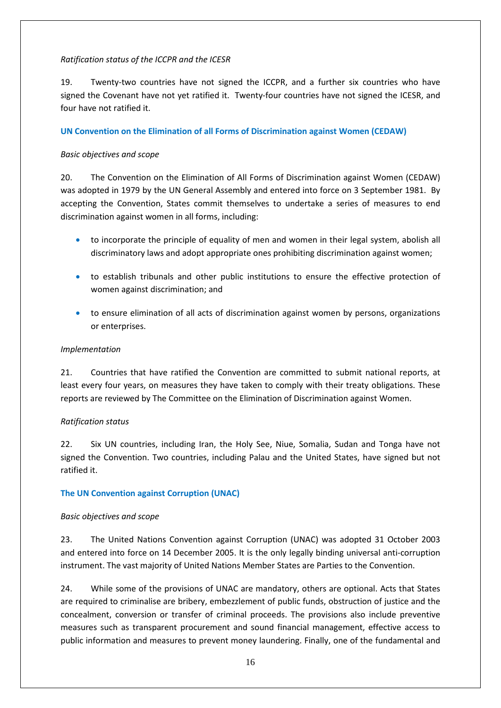### *Ratification status of the ICCPR and the ICESR*

19. Twenty-two countries have not signed the ICCPR, and a further six countries who have signed the Covenant have not yet ratified it. Twenty-four countries have not signed the ICESR, and four have not ratified it.

### **UN Convention on the Elimination of all Forms of Discrimination against Women (CEDAW)**

### *Basic objectives and scope*

20. The Convention on the Elimination of All Forms of Discrimination against Women (CEDAW) was adopted in 1979 by the UN General Assembly and entered into force on 3 September 1981. By accepting the Convention, States commit themselves to undertake a series of measures to end discrimination against women in all forms, including:

- to incorporate the principle of equality of men and women in their legal system, abolish all discriminatory laws and adopt appropriate ones prohibiting discrimination against women;
- to establish tribunals and other public institutions to ensure the effective protection of women against discrimination; and
- to ensure elimination of all acts of discrimination against women by persons, organizations or enterprises.

### *Implementation*

21. Countries that have ratified the Convention are committed to submit national reports, at least every four years, on measures they have taken to comply with their treaty obligations. These reports are reviewed by The Committee on the Elimination of Discrimination against Women.

### *Ratification status*

22. Six UN countries, including Iran, the Holy See, Niue, Somalia, Sudan and Tonga have not signed the Convention. Two countries, including Palau and the United States, have signed but not ratified it.

# **The UN Convention against Corruption (UNAC)**

### *Basic objectives and scope*

23. The United Nations Convention against Corruption (UNAC) was adopted 31 October 2003 and entered into force on 14 December 2005. It is the only legally binding universal anti-corruption instrument. The vast majority of United Nations Member States are Parties to the Convention.

24. While some of the provisions of UNAC are mandatory, others are optional. Acts that States are required to criminalise are bribery, embezzlement of public funds, obstruction of justice and the concealment, conversion or transfer of criminal proceeds. The provisions also include preventive measures such as transparent procurement and sound financial management, effective access to public information and measures to prevent money laundering. Finally, one of the fundamental and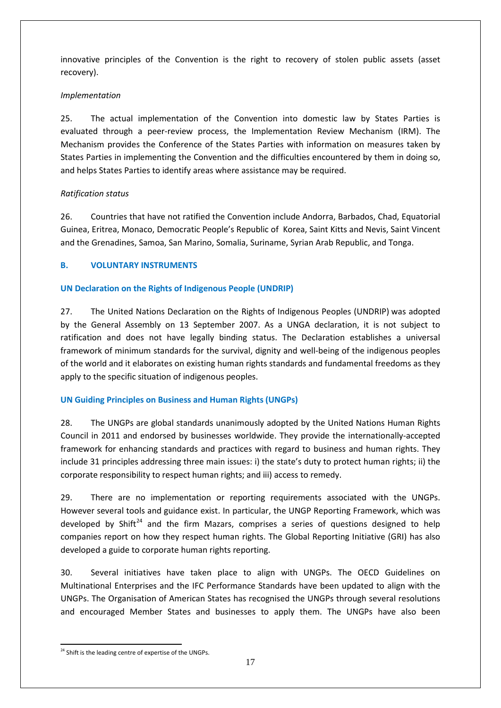innovative principles of the Convention is the right to recovery of stolen public assets (asset recovery).

# *Implementation*

25. The actual implementation of the Convention into domestic law by States Parties is evaluated through a peer-review process, the Implementation Review Mechanism (IRM). The Mechanism provides the Conference of the States Parties with information on measures taken by States Parties in implementing the Convention and the difficulties encountered by them in doing so, and helps States Parties to identify areas where assistance may be required.

# *Ratification status*

26. Countries that have not ratified the Convention include Andorra, Barbados, Chad, Equatorial Guinea, Eritrea, Monaco, Democratic People's Republic of Korea, Saint Kitts and Nevis, Saint Vincent and the Grenadines, Samoa, San Marino, Somalia, Suriname, Syrian Arab Republic, and Tonga.

# **B. VOLUNTARY INSTRUMENTS**

# **UN Declaration on the Rights of Indigenous People (UNDRIP)**

27. The United Nations Declaration on the Rights of Indigenous Peoples (UNDRIP) was adopted by the General Assembly on 13 September 2007. As a UNGA declaration, it is not subject to ratification and does not have legally binding status. The Declaration establishes a universal framework of minimum standards for the survival, dignity and well-being of the indigenous peoples of the world and it elaborates on existing human rights standards and fundamental freedoms as they apply to the specific situation of indigenous peoples.

# **UN Guiding Principles on Business and Human Rights (UNGPs)**

28. The UNGPs are global standards unanimously adopted by the United Nations Human Rights Council in 2011 and endorsed by businesses worldwide. They provide the internationally-accepted framework for enhancing standards and practices with regard to business and human rights. They include 31 principles addressing three main issues: i) the state's duty to protect human rights; ii) the corporate responsibility to respect human rights; and iii) access to remedy.

29. There are no implementation or reporting requirements associated with the UNGPs. However several tools and guidance exist. In particular, the UNGP Reporting Framework, which was developed by Shift<sup>[24](#page-16-0)</sup> and the firm Mazars, comprises a series of questions designed to help companies report on how they respect human rights. The Global Reporting Initiative (GRI) has also developed a guide to corporate human rights reporting.

30. Several initiatives have taken place to align with UNGPs. The OECD Guidelines on Multinational Enterprises and the IFC Performance Standards have been updated to align with the UNGPs. The Organisation of American States has recognised the UNGPs through several resolutions and encouraged Member States and businesses to apply them. The UNGPs have also been

<span id="page-16-0"></span><sup>&</sup>lt;sup>24</sup> Shift is the leading centre of expertise of the UNGPs.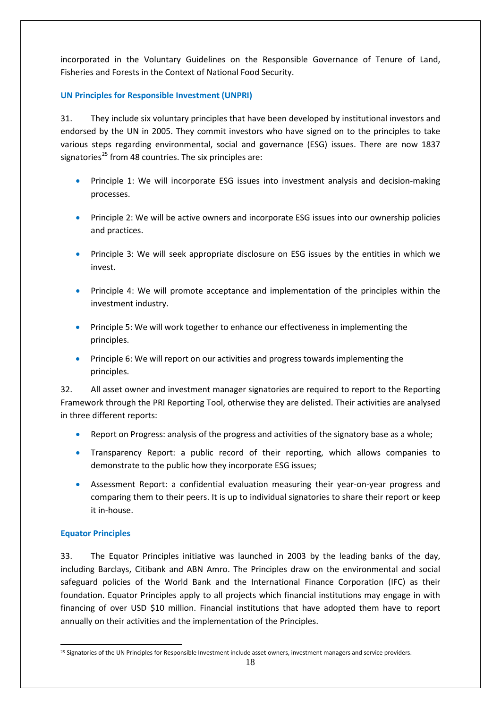incorporated in the Voluntary Guidelines on the Responsible Governance of Tenure of Land, Fisheries and Forests in the Context of National Food Security.

**UN Principles for Responsible Investment (UNPRI)**

31. They include six voluntary principles that have been developed by institutional investors and endorsed by the UN in 2005. They commit investors who have signed on to the principles to take various steps regarding environmental, social and governance (ESG) issues. There are now 1837 signatories<sup>[25](#page-17-0)</sup> from 48 countries. The six principles are:

- Principle 1: We will incorporate ESG issues into investment analysis and decision-making processes.
- Principle 2: We will be active owners and incorporate ESG issues into our ownership policies and practices.
- Principle 3: We will seek appropriate disclosure on ESG issues by the entities in which we invest.
- Principle 4: We will promote acceptance and implementation of the principles within the investment industry.
- Principle 5: We will work together to enhance our effectiveness in implementing the principles.
- Principle 6: We will report on our activities and progress towards implementing the principles.

32. All asset owner and investment manager signatories are required to report to the Reporting Framework through the PRI Reporting Tool, otherwise they are delisted. Their activities are analysed in three different reports:

- Report on Progress: analysis of the progress and activities of the signatory base as a whole;
- Transparency Report: a public record of their reporting, which allows companies to demonstrate to the public how they incorporate ESG issues;
- Assessment Report: a confidential evaluation measuring their year-on-year progress and comparing them to their peers. It is up to individual signatories to share their report or keep it in-house.

# **Equator Principles**

33. The Equator Principles initiative was launched in 2003 by the leading banks of the day, including Barclays, Citibank and ABN Amro. The Principles draw on the environmental and social safeguard policies of the World Bank and the International Finance Corporation (IFC) as their foundation. Equator Principles apply to all projects which financial institutions may engage in with financing of over USD \$10 million. Financial institutions that have adopted them have to report annually on their activities and the implementation of the Principles.

<span id="page-17-0"></span><sup>&</sup>lt;u>.</u> <sup>25</sup> Signatories of the UN Principles for Responsible Investment include asset owners, investment managers and service providers.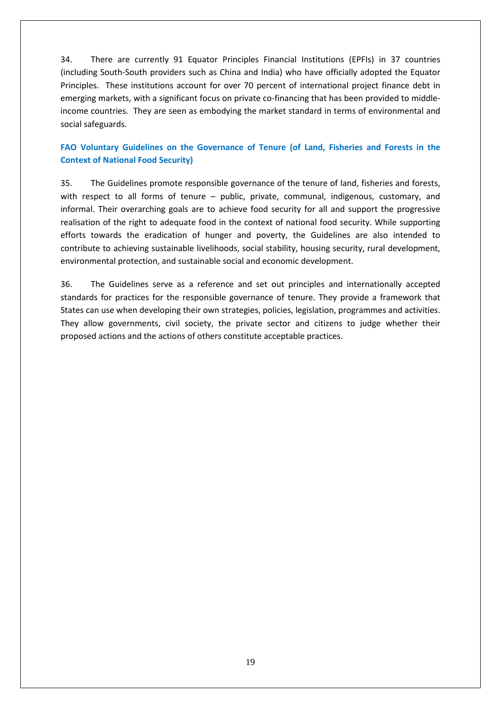34. There are currently 91 Equator Principles Financial Institutions (EPFIs) in 37 countries (including South-South providers such as China and India) who have officially adopted the Equator Principles. These institutions account for over 70 percent of international project finance debt in emerging markets, with a significant focus on private co-financing that has been provided to middleincome countries. They are seen as embodying the market standard in terms of environmental and social safeguards.

# **FAO Voluntary Guidelines on the Governance of Tenure (of Land, Fisheries and Forests in the Context of National Food Security)**

35. The Guidelines promote responsible governance of the tenure of land, fisheries and forests, with respect to all forms of tenure – public, private, communal, indigenous, customary, and informal. Their overarching goals are to achieve food security for all and support the progressive realisation of the right to adequate food in the context of national food security. While supporting efforts towards the eradication of hunger and poverty, the Guidelines are also intended to contribute to achieving sustainable livelihoods, social stability, housing security, rural development, environmental protection, and sustainable social and economic development.

36. The Guidelines serve as a reference and set out principles and internationally accepted standards for practices for the responsible governance of tenure. They provide a framework that States can use when developing their own strategies, policies, legislation, programmes and activities. They allow governments, civil society, the private sector and citizens to judge whether their proposed actions and the actions of others constitute acceptable practices.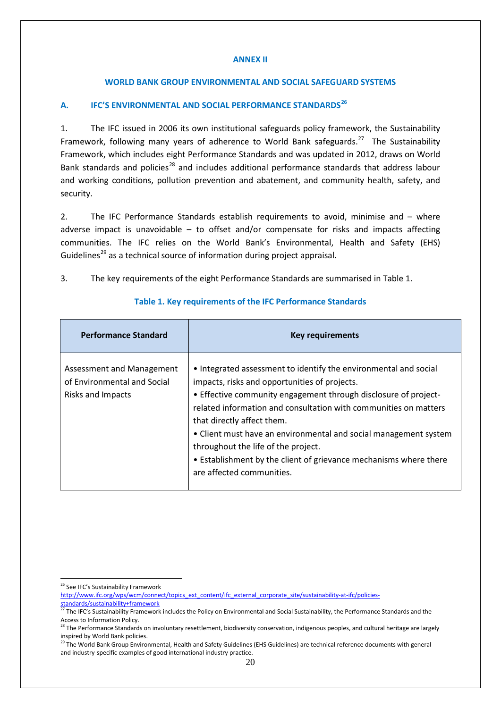### **ANNEX II**

### **WORLD BANK GROUP ENVIRONMENTAL AND SOCIAL SAFEGUARD SYSTEMS**

# **A. IFC'S ENVIRONMENTAL AND SOCIAL PERFORMANCE STANDARDS[26](#page-19-0)**

1. The IFC issued in 2006 its own institutional safeguards policy framework, the Sustainability Framework, following many years of adherence to World Bank safeguards.<sup>27</sup> The Sustainability Framework, which includes eight Performance Standards and was updated in 2012, draws on World Bank standards and policies<sup>[28](#page-19-2)</sup> and includes additional performance standards that address labour and working conditions, pollution prevention and abatement, and community health, safety, and security.

2. The IFC Performance Standards establish requirements to avoid, minimise and – where adverse impact is unavoidable – to offset and/or compensate for risks and impacts affecting communities. The IFC relies on the World Bank's Environmental, Health and Safety (EHS) Guidelines<sup>[29](#page-19-3)</sup> as a technical source of information during project appraisal.

3. The key requirements of the eight Performance Standards are summarised in Table 1.

| <b>Performance Standard</b>                                                   | <b>Key requirements</b>                                                                                                                                                                                                                                                                                                                                                                                                                                                                             |
|-------------------------------------------------------------------------------|-----------------------------------------------------------------------------------------------------------------------------------------------------------------------------------------------------------------------------------------------------------------------------------------------------------------------------------------------------------------------------------------------------------------------------------------------------------------------------------------------------|
| Assessment and Management<br>of Environmental and Social<br>Risks and Impacts | • Integrated assessment to identify the environmental and social<br>impacts, risks and opportunities of projects.<br>• Effective community engagement through disclosure of project-<br>related information and consultation with communities on matters<br>that directly affect them.<br>• Client must have an environmental and social management system<br>throughout the life of the project.<br>• Establishment by the client of grievance mechanisms where there<br>are affected communities. |

#### **Table 1. Key requirements of the IFC Performance Standards**

- [http://www.ifc.org/wps/wcm/connect/topics\\_ext\\_content/ifc\\_external\\_corporate\\_site/sustainability-at-ifc/policies-](http://www.ifc.org/wps/wcm/connect/topics_ext_content/ifc_external_corporate_site/sustainability-at-ifc/policies-standards/sustainability+framework)
- tandards/sustainability+framework

<span id="page-19-0"></span><sup>&</sup>lt;sup>26</sup> See IFC's Sustainability Framework

<span id="page-19-1"></span>Standards/sustainability+framework<br>
<sup>27</sup>The IFC's Sustainability Framework includes the Policy on Environmental and Social Sustainability, the Performance Standards and the Access to Information Policy.<br><sup>28</sup> The Performance Standards on involuntary resettlement, biodiversity conservation, indigenous peoples, and cultural heritage are largely

<span id="page-19-2"></span>inspired by World Bank policies.

<span id="page-19-3"></span><sup>&</sup>lt;sup>29</sup> The World Bank Group Environmental, Health and Safety Guidelines (EHS Guidelines) are technical reference documents with general and industry-specific examples of good international industry practice.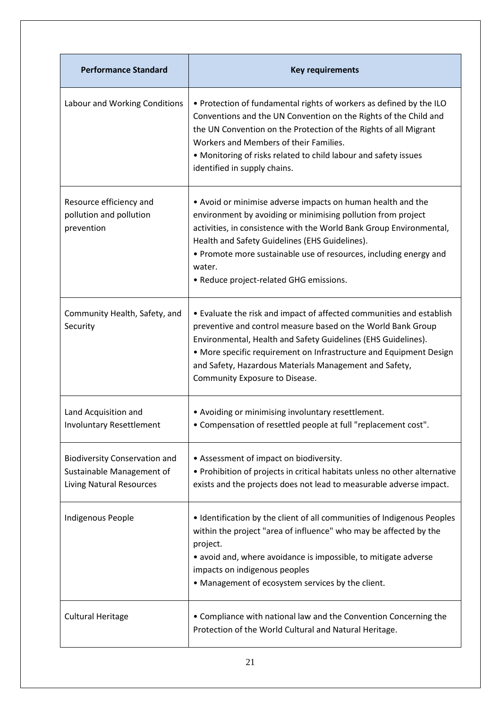| <b>Performance Standard</b>                                                                          | <b>Key requirements</b>                                                                                                                                                                                                                                                                                                                                                        |
|------------------------------------------------------------------------------------------------------|--------------------------------------------------------------------------------------------------------------------------------------------------------------------------------------------------------------------------------------------------------------------------------------------------------------------------------------------------------------------------------|
| Labour and Working Conditions                                                                        | . Protection of fundamental rights of workers as defined by the ILO<br>Conventions and the UN Convention on the Rights of the Child and<br>the UN Convention on the Protection of the Rights of all Migrant<br>Workers and Members of their Families.<br>• Monitoring of risks related to child labour and safety issues<br>identified in supply chains.                       |
| Resource efficiency and<br>pollution and pollution<br>prevention                                     | • Avoid or minimise adverse impacts on human health and the<br>environment by avoiding or minimising pollution from project<br>activities, in consistence with the World Bank Group Environmental,<br>Health and Safety Guidelines (EHS Guidelines).<br>• Promote more sustainable use of resources, including energy and<br>water.<br>• Reduce project-related GHG emissions. |
| Community Health, Safety, and<br>Security                                                            | • Evaluate the risk and impact of affected communities and establish<br>preventive and control measure based on the World Bank Group<br>Environmental, Health and Safety Guidelines (EHS Guidelines).<br>• More specific requirement on Infrastructure and Equipment Design<br>and Safety, Hazardous Materials Management and Safety,<br>Community Exposure to Disease.        |
| Land Acquisition and<br><b>Involuntary Resettlement</b>                                              | • Avoiding or minimising involuntary resettlement.<br>• Compensation of resettled people at full "replacement cost".                                                                                                                                                                                                                                                           |
| <b>Biodiversity Conservation and</b><br>Sustainable Management of<br><b>Living Natural Resources</b> | • Assessment of impact on biodiversity.<br>• Prohibition of projects in critical habitats unless no other alternative<br>exists and the projects does not lead to measurable adverse impact.                                                                                                                                                                                   |
| Indigenous People                                                                                    | . Identification by the client of all communities of Indigenous Peoples<br>within the project "area of influence" who may be affected by the<br>project.<br>• avoid and, where avoidance is impossible, to mitigate adverse<br>impacts on indigenous peoples<br>• Management of ecosystem services by the client.                                                              |
| <b>Cultural Heritage</b>                                                                             | • Compliance with national law and the Convention Concerning the<br>Protection of the World Cultural and Natural Heritage.                                                                                                                                                                                                                                                     |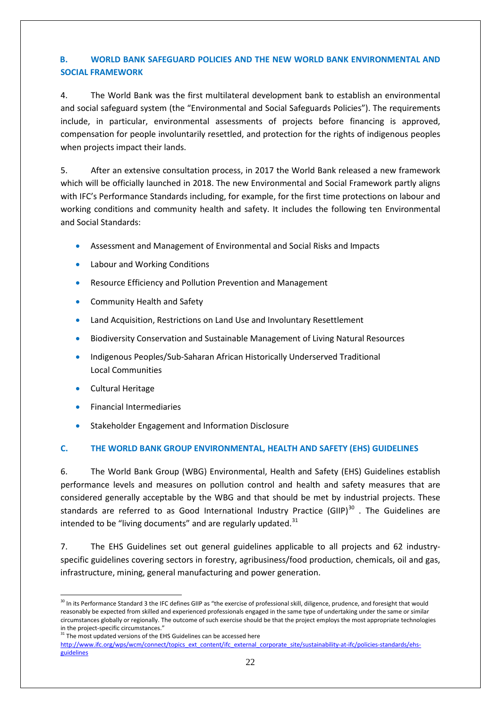# **B. WORLD BANK SAFEGUARD POLICIES AND THE NEW WORLD BANK ENVIRONMENTAL AND SOCIAL FRAMEWORK**

4. The World Bank was the first multilateral development bank to establish an environmental and social safeguard system (the "Environmental and Social Safeguards Policies"). The requirements include, in particular, environmental assessments of projects before financing is approved, compensation for people involuntarily resettled, and protection for the rights of indigenous peoples when projects impact their lands.

5. After an extensive consultation process, in 2017 the World Bank released a new framework which will be officially launched in 2018. The new Environmental and Social Framework partly aligns with IFC's Performance Standards including, for example, for the first time protections on labour and working conditions and community health and safety. It includes the following ten Environmental and Social Standards:

- Assessment and Management of Environmental and Social Risks and Impacts
- Labour and Working Conditions
- Resource Efficiency and Pollution Prevention and Management
- Community Health and Safety
- Land Acquisition, Restrictions on Land Use and Involuntary Resettlement
- Biodiversity Conservation and Sustainable Management of Living Natural Resources
- Indigenous Peoples/Sub-Saharan African Historically Underserved Traditional Local Communities
- Cultural Heritage
- Financial Intermediaries
- Stakeholder Engagement and Information Disclosure

# **C. THE WORLD BANK GROUP ENVIRONMENTAL, HEALTH AND SAFETY (EHS) GUIDELINES**

6. The World Bank Group (WBG) Environmental, Health and Safety (EHS) Guidelines establish performance levels and measures on pollution control and health and safety measures that are considered generally acceptable by the WBG and that should be met by industrial projects. These standards are referred to as Good International Industry Practice (GIIP) $^{30}$  $^{30}$  $^{30}$  . The Guidelines are intended to be "living documents" and are regularly updated.<sup>[31](#page-21-1)</sup>

7. The EHS Guidelines set out general guidelines applicable to all projects and 62 industryspecific guidelines covering sectors in forestry, agribusiness/food production, chemicals, oil and gas, infrastructure, mining, general manufacturing and power generation.

<span id="page-21-1"></span>in the project-specific circumstances."<br> $31$  The most updated versions of the EHS Guidelines can be accessed here

<span id="page-21-0"></span><sup>&</sup>lt;sup>30</sup> In its Performance Standard 3 the IFC defines GIIP as "the exercise of professional skill, diligence, prudence, and foresight that would reasonably be expected from skilled and experienced professionals engaged in the same type of undertaking under the same or similar circumstances globally or regionally. The outcome of such exercise should be that the project employs the most appropriate technologies

[http://www.ifc.org/wps/wcm/connect/topics\\_ext\\_content/ifc\\_external\\_corporate\\_site/sustainability-at-ifc/policies-standards/ehs](http://www.ifc.org/wps/wcm/connect/topics_ext_content/ifc_external_corporate_site/sustainability-at-ifc/policies-standards/ehs-guidelines)[guidelines](http://www.ifc.org/wps/wcm/connect/topics_ext_content/ifc_external_corporate_site/sustainability-at-ifc/policies-standards/ehs-guidelines)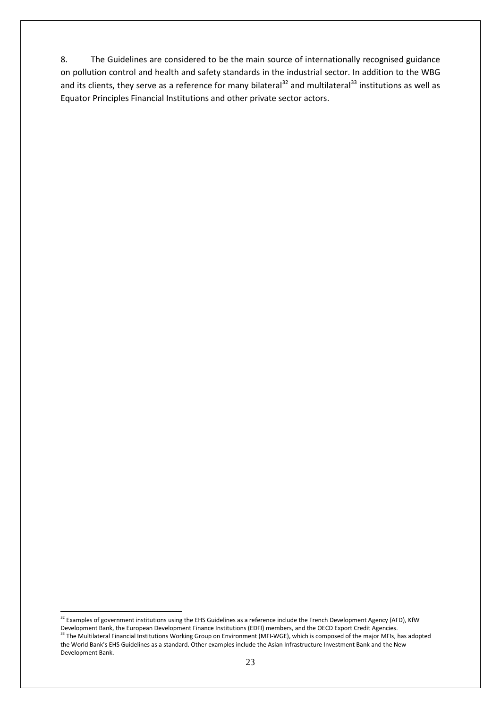8. The Guidelines are considered to be the main source of internationally recognised guidance on pollution control and health and safety standards in the industrial sector. In addition to the WBG and its clients, they serve as a reference for many bilateral<sup>[32](#page-22-0)</sup> and multilateral<sup>[33](#page-22-1)</sup> institutions as well as Equator Principles Financial Institutions and other private sector actors.

<span id="page-22-1"></span><span id="page-22-0"></span><sup>&</sup>lt;sup>32</sup> Examples of government institutions using the EHS Guidelines as a reference include the French Development Agency (AFD), KfW Development Bank, the European Development Finance Institutions (EDFI) members, and the OECD Export Credit Agencies.<br><sup>33</sup> The Multilateral Financial Institutions Working Group on Environment (MFI-WGE), which is composed of the World Bank's EHS Guidelines as a standard. Other examples include the Asian Infrastructure Investment Bank and the New Development Bank.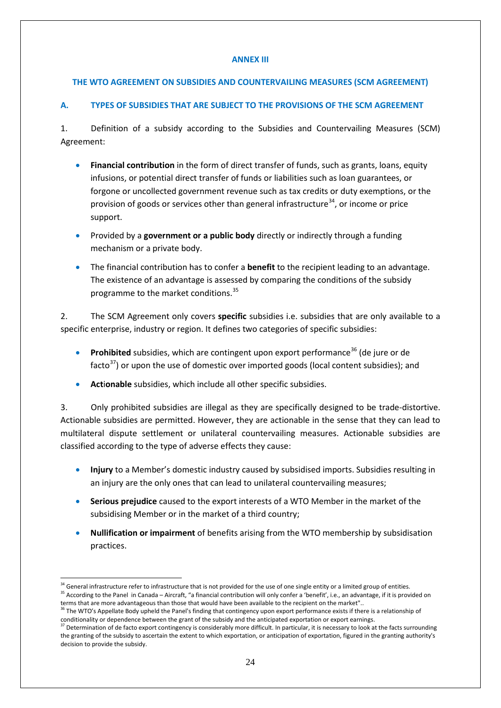### **ANNEX III**

# **THE WTO AGREEMENT ON SUBSIDIES AND COUNTERVAILING MEASURES (SCM AGREEMENT)**

# **A. TYPES OF SUBSIDIES THAT ARE SUBJECT TO THE PROVISIONS OF THE SCM AGREEMENT**

1. Definition of a subsidy according to the Subsidies and Countervailing Measures (SCM) Agreement:

- **Financial contribution** in the form of direct transfer of funds, such as grants, loans, equity infusions, or potential direct transfer of funds or liabilities such as loan guarantees, or forgone or uncollected government revenue such as tax credits or duty exemptions, or the provision of goods or services other than general infrastructure<sup>34</sup>, or income or price support.
- Provided by a **government or a public body** directly or indirectly through a funding mechanism or a private body.
- The financial contribution has to confer a **benefit** to the recipient leading to an advantage. The existence of an advantage is assessed by comparing the conditions of the subsidy programme to the market conditions.<sup>[35](#page-23-1)</sup>

2. The SCM Agreement only covers **specific** subsidies i.e. subsidies that are only available to a specific enterprise, industry or region. It defines two categories of specific subsidies:

- **Prohibited** subsidies, which are contingent upon export performance<sup>[36](#page-23-2)</sup> (de jure or de facto $37$ ) or upon the use of domestic over imported goods (local content subsidies); and
- **Act**i**onable** subsidies, which include all other specific subsidies.

3. Only prohibited subsidies are illegal as they are specifically designed to be trade-distortive. Actionable subsidies are permitted. However, they are actionable in the sense that they can lead to multilateral dispute settlement or unilateral countervailing measures. Actionable subsidies are classified according to the type of adverse effects they cause:

- **Injury** to a Member's domestic industry caused by subsidised imports. Subsidies resulting in an injury are the only ones that can lead to unilateral countervailing measures;
- **Serious prejudice** caused to the export interests of a WTO Member in the market of the subsidising Member or in the market of a third country;
- **Nullification or impairment** of benefits arising from the WTO membership by subsidisation practices.

<sup>&</sup>lt;sup>34</sup> General infrastructure refer to infrastructure that is not provided for the use of one single entity or a limited group of entities.

<span id="page-23-1"></span><span id="page-23-0"></span><sup>&</sup>lt;sup>35</sup> According to the Panel in Canada – Aircraft, "a financial contribution will only confer a 'benefit', i.e., an advantage, if it is provided on terms that are more advantageous than those that would have been available to the recipient on the market"..

<span id="page-23-2"></span><sup>&</sup>lt;sup>36</sup> The WTO's Appellate Body upheld the Panel's finding that contingency upon export performance exists if there is a relationship of conditionality or dependence between the grant of the subsidy and the anticipated exportation or export earnings.

<span id="page-23-3"></span> $37$  Determination of de facto export contingency is considerably more difficult. In particular, it is necessary to look at the facts surrounding the granting of the subsidy to ascertain the extent to which exportation, or anticipation of exportation, figured in the granting authority's decision to provide the subsidy.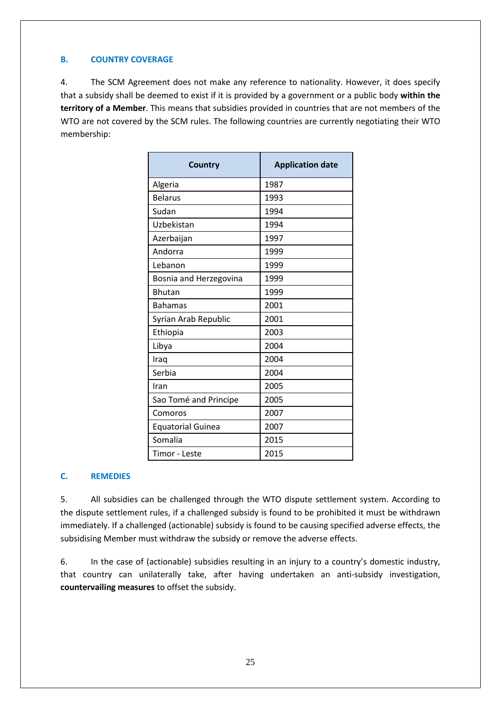# **B. COUNTRY COVERAGE**

4. The SCM Agreement does not make any reference to nationality. However, it does specify that a subsidy shall be deemed to exist if it is provided by a government or a public body **within the territory of a Member**. This means that subsidies provided in countries that are not members of the WTO are not covered by the SCM rules. The following countries are currently negotiating their WTO membership:

| Country                  | <b>Application date</b> |
|--------------------------|-------------------------|
| Algeria                  | 1987                    |
| <b>Belarus</b>           | 1993                    |
| Sudan                    | 1994                    |
| Uzbekistan               | 1994                    |
| Azerbaijan               | 1997                    |
| Andorra                  | 1999                    |
| Lebanon                  | 1999                    |
| Bosnia and Herzegovina   | 1999                    |
| <b>Bhutan</b>            | 1999                    |
| <b>Bahamas</b>           | 2001                    |
| Syrian Arab Republic     | 2001                    |
| Ethiopia                 | 2003                    |
| Libya                    | 2004                    |
| Iraq                     | 2004                    |
| Serbia                   | 2004                    |
| Iran                     | 2005                    |
| Sao Tomé and Principe    | 2005                    |
| Comoros                  | 2007                    |
| <b>Equatorial Guinea</b> | 2007                    |
| Somalia                  | 2015                    |
| Timor - Leste            | 2015                    |

# **C. REMEDIES**

5. All subsidies can be challenged through the WTO dispute settlement system. According to the dispute settlement rules, if a challenged subsidy is found to be prohibited it must be withdrawn immediately. If a challenged (actionable) subsidy is found to be causing specified adverse effects, the subsidising Member must withdraw the subsidy or remove the adverse effects.

6. In the case of (actionable) subsidies resulting in an injury to a country's domestic industry, that country can unilaterally take, after having undertaken an anti-subsidy investigation, **countervailing measures** to offset the subsidy.